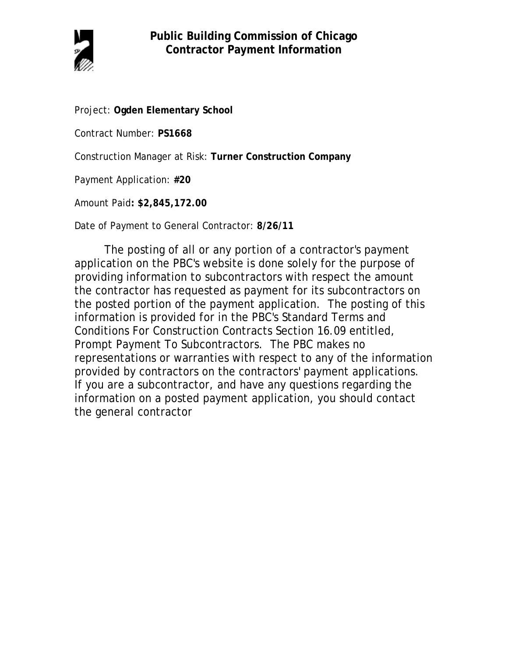

Project: **Ogden Elementary School**

Contract Number: **PS1668**

Construction Manager at Risk: **Turner Construction Company**

Payment Application: **#20**

Amount Paid**: \$2,845,172.00**

Date of Payment to General Contractor: **8/26/11**

The posting of all or any portion of a contractor's payment application on the PBC's website is done solely for the purpose of providing information to subcontractors with respect the amount the contractor has requested as payment for its subcontractors on the posted portion of the payment application. The posting of this information is provided for in the PBC's Standard Terms and Conditions For Construction Contracts Section 16.09 entitled, Prompt Payment To Subcontractors. The PBC makes no representations or warranties with respect to any of the information provided by contractors on the contractors' payment applications. If you are a subcontractor, and have any questions regarding the information on a posted payment application, you should contact the general contractor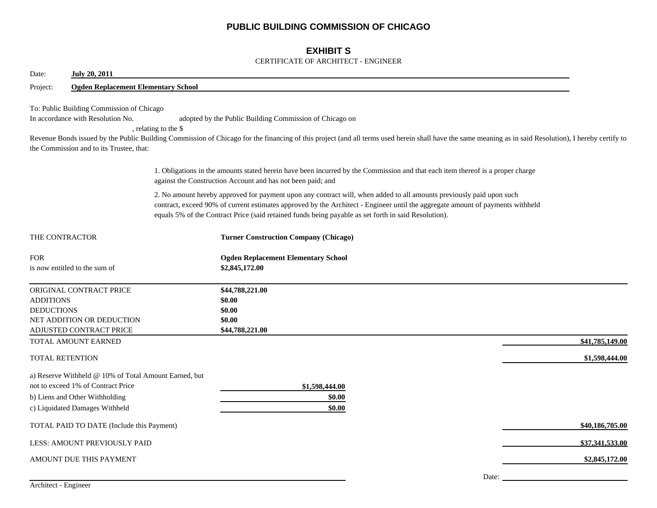## **PUBLIC BUILDING COMMISSION OF CHICAGO**

## **EXHIBIT S**

#### CERTIFICATE OF ARCHITECT - ENGINEER

| Date:                                 | <b>July 20, 2011</b>                                                                                                                                                                                                                                                                                                                                                                                                    |  |                                                                                                                                                                                                                                                                                                                                                                |                 |  |  |  |  |  |
|---------------------------------------|-------------------------------------------------------------------------------------------------------------------------------------------------------------------------------------------------------------------------------------------------------------------------------------------------------------------------------------------------------------------------------------------------------------------------|--|----------------------------------------------------------------------------------------------------------------------------------------------------------------------------------------------------------------------------------------------------------------------------------------------------------------------------------------------------------------|-----------------|--|--|--|--|--|
| Project:                              | <b>Ogden Replacement Elementary School</b>                                                                                                                                                                                                                                                                                                                                                                              |  |                                                                                                                                                                                                                                                                                                                                                                |                 |  |  |  |  |  |
|                                       | To: Public Building Commission of Chicago<br>In accordance with Resolution No.<br>adopted by the Public Building Commission of Chicago on<br>, relating to the \$<br>Revenue Bonds issued by the Public Building Commission of Chicago for the financing of this project (and all terms used herein shall have the same meaning as in said Resolution), I hereby certify to<br>the Commission and to its Trustee, that: |  |                                                                                                                                                                                                                                                                                                                                                                |                 |  |  |  |  |  |
|                                       |                                                                                                                                                                                                                                                                                                                                                                                                                         |  | 1. Obligations in the amounts stated herein have been incurred by the Commission and that each item thereof is a proper charge<br>against the Construction Account and has not been paid; and                                                                                                                                                                  |                 |  |  |  |  |  |
|                                       |                                                                                                                                                                                                                                                                                                                                                                                                                         |  | 2. No amount hereby approved for payment upon any contract will, when added to all amounts previously paid upon such<br>contract, exceed 90% of current estimates approved by the Architect - Engineer until the aggregate amount of payments withheld<br>equals 5% of the Contract Price (said retained funds being payable as set forth in said Resolution). |                 |  |  |  |  |  |
| THE CONTRACTOR                        |                                                                                                                                                                                                                                                                                                                                                                                                                         |  | <b>Turner Construction Company (Chicago)</b>                                                                                                                                                                                                                                                                                                                   |                 |  |  |  |  |  |
| <b>FOR</b>                            | is now entitled to the sum of                                                                                                                                                                                                                                                                                                                                                                                           |  | <b>Ogden Replacement Elementary School</b><br>\$2,845,172.00                                                                                                                                                                                                                                                                                                   |                 |  |  |  |  |  |
| <b>ADDITIONS</b><br><b>DEDUCTIONS</b> | ORIGINAL CONTRACT PRICE<br>NET ADDITION OR DEDUCTION<br>ADJUSTED CONTRACT PRICE                                                                                                                                                                                                                                                                                                                                         |  | \$44,788,221.00<br>\$0.00<br>\$0.00<br>\$0.00<br>\$44,788,221.00                                                                                                                                                                                                                                                                                               |                 |  |  |  |  |  |
|                                       | TOTAL AMOUNT EARNED                                                                                                                                                                                                                                                                                                                                                                                                     |  |                                                                                                                                                                                                                                                                                                                                                                | \$41,785,149.00 |  |  |  |  |  |
| <b>TOTAL RETENTION</b>                |                                                                                                                                                                                                                                                                                                                                                                                                                         |  |                                                                                                                                                                                                                                                                                                                                                                | \$1,598,444.00  |  |  |  |  |  |
|                                       | a) Reserve Withheld @ 10% of Total Amount Earned, but<br>not to exceed 1% of Contract Price<br>b) Liens and Other Withholding<br>c) Liquidated Damages Withheld                                                                                                                                                                                                                                                         |  | \$1,598,444.00<br>\$0.00<br>\$0.00                                                                                                                                                                                                                                                                                                                             |                 |  |  |  |  |  |
|                                       | TOTAL PAID TO DATE (Include this Payment)                                                                                                                                                                                                                                                                                                                                                                               |  |                                                                                                                                                                                                                                                                                                                                                                | \$40,186,705.00 |  |  |  |  |  |
|                                       | LESS: AMOUNT PREVIOUSLY PAID                                                                                                                                                                                                                                                                                                                                                                                            |  |                                                                                                                                                                                                                                                                                                                                                                | \$37,341,533.00 |  |  |  |  |  |
|                                       | AMOUNT DUE THIS PAYMENT                                                                                                                                                                                                                                                                                                                                                                                                 |  |                                                                                                                                                                                                                                                                                                                                                                | \$2,845,172.00  |  |  |  |  |  |
|                                       |                                                                                                                                                                                                                                                                                                                                                                                                                         |  | Date:                                                                                                                                                                                                                                                                                                                                                          |                 |  |  |  |  |  |

Architect - Engineer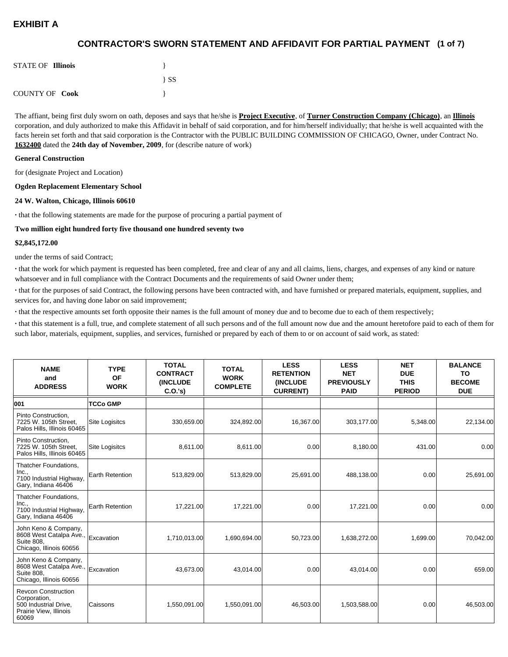## **(1 of 7) CONTRACTOR'S SWORN STATEMENT AND AFFIDAVIT FOR PARTIAL PAYMENT**

| <b>STATE OF Illinois</b> |          |
|--------------------------|----------|
|                          | $\{SS\}$ |
| <b>COUNTY OF Cook</b>    |          |

The affiant, being first duly sworn on oath, deposes and says that he/she is **Project Executive**, of **Turner Construction Company (Chicago)**, an **Illinois** corporation, and duly authorized to make this Affidavit in behalf of said corporation, and for him/herself individually; that he/she is well acquainted with the facts herein set forth and that said corporation is the Contractor with the PUBLIC BUILDING COMMISSION OF CHICAGO, Owner, under Contract No. **1632400** dated the **24th day of November, 2009**, for (describe nature of work)

#### **General Construction**

for (designate Project and Location)

#### **Ogden Replacement Elementary School**

#### **24 W. Walton, Chicago, Illinois 60610**

**·** that the following statements are made for the purpose of procuring a partial payment of

#### **Two million eight hundred forty five thousand one hundred seventy two**

#### **\$2,845,172.00**

under the terms of said Contract;

**·** that the work for which payment is requested has been completed, free and clear of any and all claims, liens, charges, and expenses of any kind or nature whatsoever and in full compliance with the Contract Documents and the requirements of said Owner under them;

**·** that for the purposes of said Contract, the following persons have been contracted with, and have furnished or prepared materials, equipment, supplies, and services for, and having done labor on said improvement;

**·** that the respective amounts set forth opposite their names is the full amount of money due and to become due to each of them respectively;

**·** that this statement is a full, true, and complete statement of all such persons and of the full amount now due and the amount heretofore paid to each of them for such labor, materials, equipment, supplies, and services, furnished or prepared by each of them to or on account of said work, as stated:

| <b>NAME</b><br>and<br><b>ADDRESS</b>                                                                   | <b>TYPE</b><br><b>OF</b><br><b>WORK</b> | <b>TOTAL</b><br><b>CONTRACT</b><br><b>(INCLUDE)</b><br>C.0.'s) | <b>TOTAL</b><br><b>WORK</b><br><b>COMPLETE</b> | <b>LESS</b><br><b>RETENTION</b><br>(INCLUDE<br><b>CURRENT)</b> | <b>LESS</b><br><b>NET</b><br><b>PREVIOUSLY</b><br><b>PAID</b> | <b>NET</b><br><b>DUE</b><br><b>THIS</b><br><b>PERIOD</b> | <b>BALANCE</b><br>TO<br><b>BECOME</b><br><b>DUE</b> |
|--------------------------------------------------------------------------------------------------------|-----------------------------------------|----------------------------------------------------------------|------------------------------------------------|----------------------------------------------------------------|---------------------------------------------------------------|----------------------------------------------------------|-----------------------------------------------------|
| 001                                                                                                    | <b>TCCo GMP</b>                         |                                                                |                                                |                                                                |                                                               |                                                          |                                                     |
| Pinto Construction,<br>7225 W. 105th Street,<br>Palos Hills, Illinois 60465                            | <b>Site Logisitcs</b>                   | 330,659.00                                                     | 324,892.00                                     | 16,367.00                                                      | 303,177.00                                                    | 5,348.00                                                 | 22,134.00                                           |
| Pinto Construction.<br>7225 W. 105th Street,<br>Palos Hills, Illinois 60465                            | <b>Site Logisitcs</b>                   | 8,611.00                                                       | 8,611.00                                       | 0.00                                                           | 8,180.00                                                      | 431.00                                                   | 0.00                                                |
| Thatcher Foundations,<br>Inc.,<br>7100 Industrial Highway,<br>Gary, Indiana 46406                      | Earth Retention                         | 513,829.00                                                     | 513,829.00                                     | 25,691.00                                                      | 488,138.00                                                    | 0.00                                                     | 25,691.00                                           |
| Thatcher Foundations,<br>Inc.,<br>7100 Industrial Highway,<br>Gary, Indiana 46406                      | <b>Earth Retention</b>                  | 17,221.00                                                      | 17,221.00                                      | 0.00                                                           | 17,221.00                                                     | 0.00                                                     | 0.00                                                |
| John Keno & Company,<br>8608 West Catalpa Ave.,<br>Suite 808,<br>Chicago, Illinois 60656               | Excavation                              | 1,710,013.00                                                   | 1,690,694.00                                   | 50,723.00                                                      | 1,638,272.00                                                  | 1,699.00                                                 | 70,042.00                                           |
| John Keno & Company,<br>8608 West Catalpa Ave.,<br><b>Suite 808.</b><br>Chicago, Illinois 60656        | Excavation                              | 43,673.00                                                      | 43,014.00                                      | 0.00                                                           | 43,014.00                                                     | 0.00                                                     | 659.00                                              |
| <b>Revcon Construction</b><br>Corporation,<br>500 Industrial Drive,<br>Prairie View, Illinois<br>60069 | Caissons                                | 1,550,091.00                                                   | 1,550,091.00                                   | 46,503.00                                                      | 1,503,588.00                                                  | 0.00                                                     | 46,503.00                                           |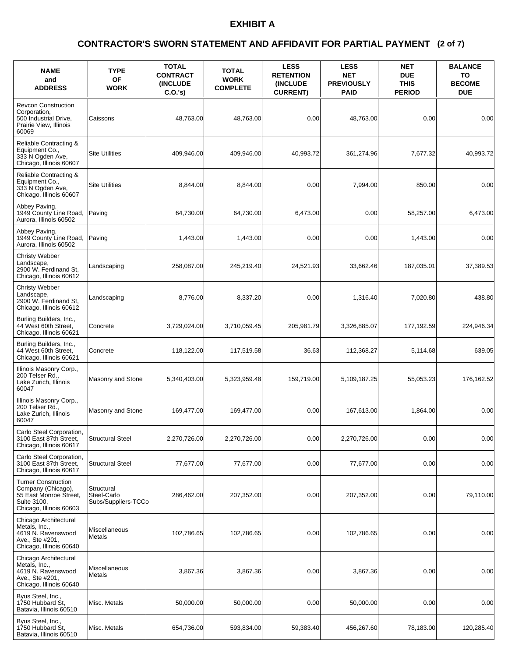### **(2 of 7) CONTRACTOR'S SWORN STATEMENT AND AFFIDAVIT FOR PARTIAL PAYMENT**

| <b>NAME</b><br>and<br><b>ADDRESS</b>                                                                                 | <b>TYPE</b><br><b>OF</b><br><b>WORK</b>          | <b>TOTAL</b><br><b>CONTRACT</b><br><b>(INCLUDE)</b><br>C.O.'s | <b>TOTAL</b><br><b>WORK</b><br><b>COMPLETE</b> | <b>LESS</b><br><b>RETENTION</b><br><b>INCLUDE</b><br><b>CURRENT)</b> | <b>LESS</b><br><b>NET</b><br><b>PREVIOUSLY</b><br><b>PAID</b> | <b>NET</b><br><b>DUE</b><br><b>THIS</b><br><b>PERIOD</b> | <b>BALANCE</b><br>TO<br><b>BECOME</b><br><b>DUE</b> |
|----------------------------------------------------------------------------------------------------------------------|--------------------------------------------------|---------------------------------------------------------------|------------------------------------------------|----------------------------------------------------------------------|---------------------------------------------------------------|----------------------------------------------------------|-----------------------------------------------------|
| <b>Revcon Construction</b><br>Corporation,<br>500 Industrial Drive,<br>Prairie View, Illinois<br>60069               | Caissons                                         | 48,763.00                                                     | 48,763.00                                      | 0.00                                                                 | 48.763.00                                                     | 0.00                                                     | 0.00                                                |
| Reliable Contracting &<br>Equipment Co.,<br>333 N Ogden Ave,<br>Chicago, Illinois 60607                              | <b>Site Utilities</b>                            | 409,946.00                                                    | 409,946.00                                     | 40,993.72                                                            | 361,274.96                                                    | 7,677.32                                                 | 40,993.72                                           |
| Reliable Contracting &<br>Equipment Co.,<br>333 N Ogden Ave.<br>Chicago, Illinois 60607                              | <b>Site Utilities</b>                            | 8,844.00                                                      | 8,844.00                                       | 0.00                                                                 | 7,994.00                                                      | 850.00                                                   | 0.00                                                |
| Abbey Paving,<br>1949 County Line Road,<br>Aurora, Illinois 60502                                                    | Paving                                           | 64,730.00                                                     | 64,730.00                                      | 6,473.00                                                             | 0.00                                                          | 58,257.00                                                | 6,473.00                                            |
| Abbey Paving,<br>1949 County Line Road,<br>Aurora. Illinois 60502                                                    | Paving                                           | 1,443.00                                                      | 1,443.00                                       | 0.00                                                                 | 0.00                                                          | 1,443.00                                                 | 0.00                                                |
| <b>Christy Webber</b><br>Landscape,<br>2900 W. Ferdinand St.<br>Chicago, Illinois 60612                              | Landscaping                                      | 258,087.00                                                    | 245,219.40                                     | 24,521.93                                                            | 33,662.46                                                     | 187,035.01                                               | 37,389.53                                           |
| <b>Christy Webber</b><br>Landscape,<br>2900 W. Ferdinand St,<br>Chicago, Illinois 60612                              | Landscaping                                      | 8,776.00                                                      | 8,337.20                                       | 0.00                                                                 | 1,316.40                                                      | 7,020.80                                                 | 438.80                                              |
| Burling Builders, Inc.,<br>44 West 60th Street,<br>Chicago, Illinois 60621                                           | Concrete                                         | 3,729,024.00                                                  | 3,710,059.45                                   | 205,981.79                                                           | 3,326,885.07                                                  | 177,192.59                                               | 224,946.34                                          |
| Burling Builders, Inc.,<br>44 West 60th Street,<br>Chicago, Illinois 60621                                           | Concrete                                         | 118,122.00                                                    | 117,519.58                                     | 36.63                                                                | 112,368.27                                                    | 5,114.68                                                 | 639.05                                              |
| Illinois Masonry Corp.,<br>200 Telser Rd.,<br>Lake Zurich, Illinois<br>60047                                         | Masonry and Stone                                | 5,340,403.00                                                  | 5,323,959.48                                   | 159,719.00                                                           | 5,109,187.25                                                  | 55,053.23                                                | 176.162.52                                          |
| Illinois Masonry Corp.,<br>200 Telser Rd<br>Lake Zurich, Illinois<br>60047                                           | Masonry and Stone                                | 169,477.00                                                    | 169,477.00                                     | 0.00                                                                 | 167,613.00                                                    | 1,864.00                                                 | 0.00                                                |
| Carlo Steel Corporation,<br>3100 East 87th Street,<br>Chicago, Illinois 60617                                        | <b>Structural Steel</b>                          | 2,270,726.00                                                  | 2,270,726.00                                   | 0.00                                                                 | 2,270,726.00                                                  | 0.00                                                     | 0.00                                                |
| Carlo Steel Corporation.<br>3100 East 87th Street,<br>Chicago, Illinois 60617                                        | <b>Structural Steel</b>                          | 77,677.00                                                     | 77,677.00                                      | 0.00                                                                 | 77,677.00                                                     | 0.00                                                     | 0.00                                                |
| <b>Turner Construction</b><br>Company (Chicago),<br>55 East Monroe Street,<br>Suite 3100,<br>Chicago, Illinois 60603 | Structural<br>Steel-Carlo<br>Subs/Suppliers-TCCb | 286,462.00                                                    | 207,352.00                                     | 0.00                                                                 | 207,352.00                                                    | 0.00                                                     | 79,110.00                                           |
| Chicago Architectural<br>Metals, Inc.,<br>4619 N. Ravenswood<br>Ave., Ste #201,<br>Chicago, Illinois 60640           | Miscellaneous<br><b>Metals</b>                   | 102,786.65                                                    | 102,786.65                                     | 0.00                                                                 | 102,786.65                                                    | 0.00                                                     | 0.00                                                |
| Chicago Architectural<br>Metals, Inc.,<br>4619 N. Ravenswood<br>Ave., Ste #201,<br>Chicago, Illinois 60640           | Miscellaneous<br>Metals                          | 3,867.36                                                      | 3,867.36                                       | 0.00                                                                 | 3,867.36                                                      | 0.00                                                     | 0.00                                                |
| Byus Steel, Inc.,<br>1750 Hubbard St.<br>Batavia, Illinois 60510                                                     | Misc. Metals                                     | 50,000.00                                                     | 50,000.00                                      | 0.00                                                                 | 50,000.00                                                     | 0.00                                                     | 0.00                                                |
| Byus Steel, Inc.,<br>1750 Hubbard St.<br>Batavia, Illinois 60510                                                     | Misc. Metals                                     | 654,736.00                                                    | 593,834.00                                     | 59,383.40                                                            | 456,267.60                                                    | 78,183.00                                                | 120,285.40                                          |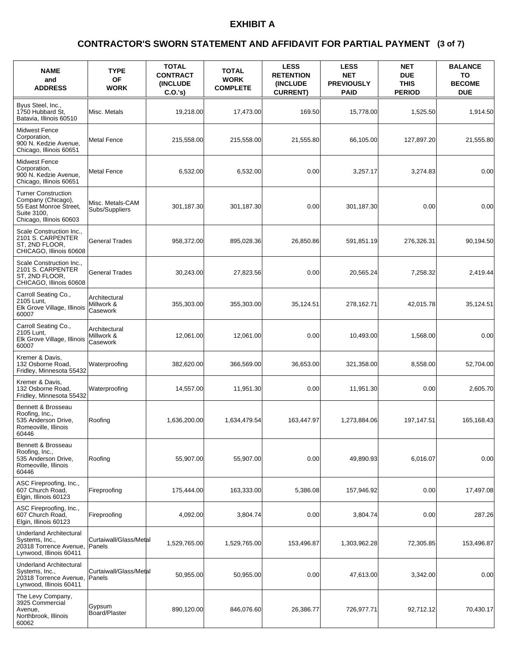### **(3 of 7) CONTRACTOR'S SWORN STATEMENT AND AFFIDAVIT FOR PARTIAL PAYMENT**

| <b>NAME</b><br>and<br><b>ADDRESS</b>                                                                                 | <b>TYPE</b><br>OF<br><b>WORK</b>        | <b>TOTAL</b><br><b>CONTRACT</b><br><b>(INCLUDE)</b><br>C.O.'s | <b>TOTAL</b><br><b>WORK</b><br><b>COMPLETE</b> | <b>LESS</b><br><b>RETENTION</b><br><b>INCLUDE</b><br><b>CURRENT)</b> | <b>LESS</b><br><b>NET</b><br><b>PREVIOUSLY</b><br><b>PAID</b> | <b>NET</b><br><b>DUE</b><br><b>THIS</b><br><b>PERIOD</b> | <b>BALANCE</b><br>TO<br><b>BECOME</b><br><b>DUE</b> |
|----------------------------------------------------------------------------------------------------------------------|-----------------------------------------|---------------------------------------------------------------|------------------------------------------------|----------------------------------------------------------------------|---------------------------------------------------------------|----------------------------------------------------------|-----------------------------------------------------|
| Byus Steel, Inc.,<br>1750 Hubbard St.<br>Batavia, Illinois 60510                                                     | Misc. Metals                            | 19,218.00                                                     | 17,473.00                                      | 169.50                                                               | 15,778.00                                                     | 1,525.50                                                 | 1,914.50                                            |
| <b>Midwest Fence</b><br>Corporation,<br>900 N. Kedzie Avenue,<br>Chicago, Illinois 60651                             | Metal Fence                             | 215,558.00                                                    | 215.558.00                                     | 21,555.80                                                            | 66,105.00                                                     | 127,897.20                                               | 21,555.80                                           |
| <b>Midwest Fence</b><br>Corporation,<br>900 N. Kedzie Avenue,<br>Chicago, Illinois 60651                             | <b>Metal Fence</b>                      | 6,532.00                                                      | 6,532.00                                       | 0.00                                                                 | 3,257.17                                                      | 3,274.83                                                 | 0.00                                                |
| <b>Turner Construction</b><br>Company (Chicago),<br>55 East Monroe Street,<br>Suite 3100,<br>Chicago, Illinois 60603 | Misc. Metals-CAM<br>Subs/Suppliers      | 301,187.30                                                    | 301,187.30                                     | 0.00                                                                 | 301,187.30                                                    | 0.00                                                     | 0.00                                                |
| Scale Construction Inc.,<br>2101 S. CARPENTER<br>ST, 2ND FLOOR,<br>CHICAGO, Illinois 60608                           | <b>General Trades</b>                   | 958,372.00                                                    | 895,028.36                                     | 26,850.86                                                            | 591,851.19                                                    | 276,326.31                                               | 90,194.50                                           |
| Scale Construction Inc.,<br>2101 S. CARPENTER<br>ST, 2ND FLOOR,<br>CHICAGO, Illinois 60608                           | <b>General Trades</b>                   | 30,243.00                                                     | 27,823.56                                      | 0.00                                                                 | 20,565.24                                                     | 7,258.32                                                 | 2,419.44                                            |
| Carroll Seating Co.,<br>2105 Lunt,<br>Elk Grove Village, Illinois<br>60007                                           | Architectural<br>Millwork &<br>Casework | 355,303.00                                                    | 355,303.00                                     | 35,124.51                                                            | 278,162.71                                                    | 42,015.78                                                | 35,124.51                                           |
| Carroll Seating Co.,<br>2105 Lunt,<br>Elk Grove Village, Illinois<br>60007                                           | Architectural<br>Millwork &<br>Casework | 12,061.00                                                     | 12,061.00                                      | 0.00                                                                 | 10,493.00                                                     | 1,568.00                                                 | 0.00                                                |
| Kremer & Davis,<br>132 Osborne Road,<br>Fridley, Minnesota 55432                                                     | Waterproofing                           | 382,620.00                                                    | 366,569.00                                     | 36,653.00                                                            | 321,358.00                                                    | 8,558.00                                                 | 52,704.00                                           |
| Kremer & Davis,<br>132 Osborne Road,<br>Fridley, Minnesota 55432                                                     | Waterproofing                           | 14,557.00                                                     | 11,951.30                                      | 0.00                                                                 | 11,951.30                                                     | 0.00                                                     | 2,605.70                                            |
| Bennett & Brosseau<br>Roofing, Inc.,<br>535 Anderson Drive,<br>Romeoville, Illinois<br>60446                         | Roofing                                 | 1,636,200.00                                                  | 1,634,479.54                                   | 163,447.97                                                           | 1,273,884.06                                                  | 197,147.51                                               | 165,168.43                                          |
| Bennett & Brosseau<br>Roofing, Inc.,<br>535 Anderson Drive,<br>Romeoville, Illinois<br>60446                         | Roofing                                 | 55,907.00                                                     | 55,907.00                                      | 0.00                                                                 | 49.890.93                                                     | 6,016.07                                                 | 0.00                                                |
| ASC Fireproofing, Inc.,<br>607 Church Road.<br>Elgin, Illinois 60123                                                 | Fireproofing                            | 175,444.00                                                    | 163,333.00                                     | 5,386.08                                                             | 157,946.92                                                    | 0.00                                                     | 17,497.08                                           |
| ASC Fireproofing, Inc.,<br>607 Church Road,<br>Elgin, Illinois 60123                                                 | Fireproofing                            | 4,092.00                                                      | 3,804.74                                       | 0.00                                                                 | 3,804.74                                                      | 0.00                                                     | 287.26                                              |
| <b>Underland Architectural</b><br>Systems, Inc.,<br>20318 Torrence Avenue,<br>Lynwood, Illinois 60411                | Curtaiwall/Glass/Metal<br>Panels        | 1,529,765.00                                                  | 1,529,765.00                                   | 153,496.87                                                           | 1,303,962.28                                                  | 72,305.85                                                | 153,496.87                                          |
| <b>Underland Architectural</b><br>Systems, Inc.,<br>20318 Torrence Avenue,<br>Lynwood, Illinois 60411                | Curtaiwall/Glass/Metal<br>Panels        | 50,955.00                                                     | 50,955.00                                      | 0.00                                                                 | 47,613.00                                                     | 3,342.00                                                 | 0.00                                                |
| The Levy Company,<br>3925 Commercial<br>Avenue,<br>Northbrook, Illinois<br>60062                                     | Gypsum<br>Board/Plaster                 | 890,120.00                                                    | 846,076.60                                     | 26,386.77                                                            | 726,977.71                                                    | 92,712.12                                                | 70,430.17                                           |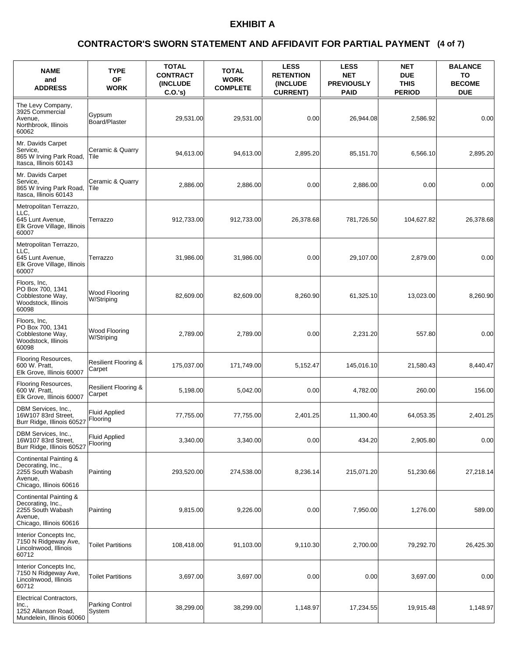### **(4 of 7) CONTRACTOR'S SWORN STATEMENT AND AFFIDAVIT FOR PARTIAL PAYMENT**

| <b>NAME</b><br>and<br><b>ADDRESS</b>                                                                   | <b>TYPE</b><br><b>OF</b><br><b>WORK</b>   | <b>TOTAL</b><br><b>CONTRACT</b><br><b>INCLUDE</b><br>$C.O.'s$ ) | <b>TOTAL</b><br><b>WORK</b><br><b>COMPLETE</b> | <b>LESS</b><br><b>RETENTION</b><br>(INCLUDE<br><b>CURRENT)</b> | <b>LESS</b><br><b>NET</b><br><b>PREVIOUSLY</b><br><b>PAID</b> | <b>NET</b><br><b>DUE</b><br><b>THIS</b><br><b>PERIOD</b> | <b>BALANCE</b><br>TO<br><b>BECOME</b><br><b>DUE</b> |
|--------------------------------------------------------------------------------------------------------|-------------------------------------------|-----------------------------------------------------------------|------------------------------------------------|----------------------------------------------------------------|---------------------------------------------------------------|----------------------------------------------------------|-----------------------------------------------------|
| The Levy Company,<br>3925 Commercial<br>Avenue,<br>Northbrook, Illinois<br>60062                       | Gypsum<br>Board/Plaster                   | 29,531.00                                                       | 29,531.00                                      | 0.00                                                           | 26,944.08                                                     | 2,586.92                                                 | 0.00                                                |
| Mr. Davids Carpet<br>Service,<br>865 W Irving Park Road,<br>Itasca, Illinois 60143                     | Ceramic & Quarry<br>Tile                  | 94,613.00                                                       | 94,613.00                                      | 2,895.20                                                       | 85,151.70                                                     | 6,566.10                                                 | 2,895.20                                            |
| Mr. Davids Carpet<br>Service,<br>865 W Irving Park Road,<br>Itasca, Illinois 60143                     | Ceramic & Quarry<br>Tile                  | 2,886.00                                                        | 2,886.00                                       | 0.00                                                           | 2,886.00                                                      | 0.00                                                     | 0.00                                                |
| Metropolitan Terrazzo,<br>LLC,<br>645 Lunt Avenue.<br>Elk Grove Village, Illinois<br>60007             | Terrazzo                                  | 912.733.00                                                      | 912,733.00                                     | 26.378.68                                                      | 781,726.50                                                    | 104,627.82                                               | 26,378.68                                           |
| Metropolitan Terrazzo,<br>LLC.<br>645 Lunt Avenue,<br>Elk Grove Village, Illinois<br>60007             | Terrazzo                                  | 31,986.00                                                       | 31,986.00                                      | 0.00                                                           | 29,107.00                                                     | 2,879.00                                                 | 0.00                                                |
| Floors, Inc,<br>PO Box 700, 1341<br>Cobblestone Way,<br>Woodstock, Illinois<br>60098                   | Wood Flooring<br>W/Striping               | 82,609.00                                                       | 82,609.00                                      | 8,260.90                                                       | 61,325.10                                                     | 13,023.00                                                | 8,260.90                                            |
| Floors, Inc,<br>PO Box 700, 1341<br>Cobblestone Way,<br>Woodstock, Illinois<br>60098                   | Wood Flooring<br>W/Striping               | 2,789.00                                                        | 2,789.00                                       | 0.00                                                           | 2,231.20                                                      | 557.80                                                   | 0.00                                                |
| Flooring Resources,<br>600 W. Pratt,<br>Elk Grove, Illinois 60007                                      | <b>Resilient Flooring &amp;</b><br>Carpet | 175,037.00                                                      | 171,749.00                                     | 5,152.47                                                       | 145,016.10                                                    | 21,580.43                                                | 8,440.47                                            |
| Flooring Resources,<br>600 W. Pratt,<br>Elk Grove, Illinois 60007                                      | <b>Resilient Flooring &amp;</b><br>Carpet | 5,198.00                                                        | 5,042.00                                       | 0.00                                                           | 4,782.00                                                      | 260.00                                                   | 156.00                                              |
| DBM Services, Inc.,<br>16W107 83rd Street,<br>Burr Ridge, Illinois 60527                               | <b>Fluid Applied</b><br>Flooring          | 77,755.00                                                       | 77,755.00                                      | 2,401.25                                                       | 11,300.40                                                     | 64,053.35                                                | 2,401.25                                            |
| DBM Services, Inc.,<br>16W107 83rd Street,<br>Burr Ridge, Illinois 60527                               | <b>Fluid Applied</b><br>Flooring          | 3,340.00                                                        | 3,340.00                                       | 0.00                                                           | 434.20                                                        | 2,905.80                                                 | 0.00                                                |
| Continental Painting &<br>Decorating, Inc.,<br>2255 South Wabash<br>Avenue,<br>Chicago, Illinois 60616 | Painting                                  | 293,520.00                                                      | 274,538.00                                     | 8,236.14                                                       | 215,071.20                                                    | 51,230.66                                                | 27,218.14                                           |
| Continental Painting &<br>Decorating, Inc.,<br>2255 South Wabash<br>Avenue,<br>Chicago, Illinois 60616 | Painting                                  | 9,815.00                                                        | 9,226.00                                       | 0.00                                                           | 7,950.00                                                      | 1,276.00                                                 | 589.00                                              |
| Interior Concepts Inc.<br>7150 N Ridgeway Ave,<br>Lincolnwood, Illinois<br>60712                       | <b>Toilet Partitions</b>                  | 108,418.00                                                      | 91,103.00                                      | 9,110.30                                                       | 2,700.00                                                      | 79,292.70                                                | 26,425.30                                           |
| Interior Concepts Inc,<br>7150 N Ridgeway Ave,<br>Lincolnwood, Illinois<br>60712                       | <b>Toilet Partitions</b>                  | 3,697.00                                                        | 3,697.00                                       | 0.00                                                           | 0.00                                                          | 3,697.00                                                 | 0.00                                                |
| Electrical Contractors,<br>Inc.,<br>1252 Allanson Road,<br>Mundelein, Illinois 60060                   | Parking Control<br>System                 | 38,299.00                                                       | 38,299.00                                      | 1,148.97                                                       | 17,234.55                                                     | 19,915.48                                                | 1,148.97                                            |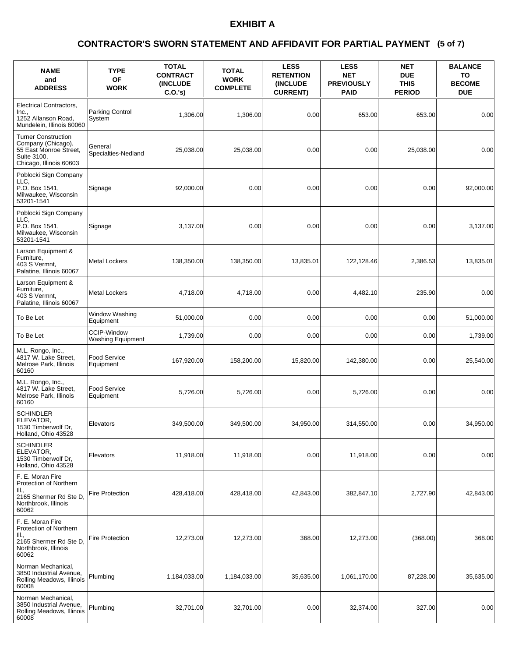### **(5 of 7) CONTRACTOR'S SWORN STATEMENT AND AFFIDAVIT FOR PARTIAL PAYMENT**

| <b>NAME</b><br>and<br><b>ADDRESS</b>                                                                                 | <b>TYPE</b><br><b>OF</b><br><b>WORK</b>        | <b>TOTAL</b><br><b>CONTRACT</b><br><b>(INCLUDE)</b><br>$C.O.'s$ ) | <b>TOTAL</b><br><b>WORK</b><br><b>COMPLETE</b> | <b>LESS</b><br><b>RETENTION</b><br>(INCLUDE<br><b>CURRENT)</b> | <b>LESS</b><br><b>NET</b><br><b>PREVIOUSLY</b><br><b>PAID</b> | <b>NET</b><br><b>DUE</b><br><b>THIS</b><br><b>PERIOD</b> | <b>BALANCE</b><br>TO<br><b>BECOME</b><br><b>DUE</b> |
|----------------------------------------------------------------------------------------------------------------------|------------------------------------------------|-------------------------------------------------------------------|------------------------------------------------|----------------------------------------------------------------|---------------------------------------------------------------|----------------------------------------------------------|-----------------------------------------------------|
| <b>Electrical Contractors,</b><br>Inc.,<br>1252 Allanson Road,<br>Mundelein, Illinois 60060                          | Parking Control<br>System                      | 1,306.00                                                          | 1,306.00                                       | 0.00                                                           | 653.00                                                        | 653.00                                                   | 0.00                                                |
| <b>Turner Construction</b><br>Company (Chicago),<br>55 East Monroe Street,<br>Suite 3100,<br>Chicago, Illinois 60603 | General<br>Specialties-Nedland                 | 25,038.00                                                         | 25,038.00                                      | 0.00                                                           | 0.00                                                          | 25,038.00                                                | 0.00                                                |
| Poblocki Sign Company<br>LLC.<br>P.O. Box 1541,<br>Milwaukee, Wisconsin<br>53201-1541                                | Signage                                        | 92,000.00                                                         | 0.00                                           | 0.00                                                           | 0.00                                                          | 0.00                                                     | 92,000.00                                           |
| Poblocki Sign Company<br>LLC.<br>P.O. Box 1541,<br>Milwaukee, Wisconsin<br>53201-1541                                | Signage                                        | 3,137.00                                                          | 0.00                                           | 0.00                                                           | 0.00                                                          | 0.00                                                     | 3,137.00                                            |
| Larson Equipment &<br>Furniture,<br>403 S Vermnt,<br>Palatine, Illinois 60067                                        | <b>Metal Lockers</b>                           | 138,350.00                                                        | 138,350.00                                     | 13,835.01                                                      | 122,128.46                                                    | 2,386.53                                                 | 13,835.01                                           |
| Larson Equipment &<br>Furniture,<br>403 S Vermnt,<br>Palatine, Illinois 60067                                        | <b>Metal Lockers</b>                           | 4,718.00                                                          | 4,718.00                                       | 0.00                                                           | 4,482.10                                                      | 235.90                                                   | 0.00                                                |
| To Be Let                                                                                                            | Window Washing<br>Equipment                    | 51,000.00                                                         | 0.00                                           | 0.00                                                           | 0.00                                                          | 0.00                                                     | 51,000.00                                           |
| To Be Let                                                                                                            | <b>CCIP-Window</b><br><b>Washing Equipment</b> | 1,739.00                                                          | 0.00                                           | 0.00                                                           | 0.00                                                          | 0.00                                                     | 1,739.00                                            |
| M.L. Rongo, Inc.,<br>4817 W. Lake Street,<br>Melrose Park, Illinois<br>60160                                         | Food Service<br>Equipment                      | 167,920.00                                                        | 158,200.00                                     | 15,820.00                                                      | 142,380.00                                                    | 0.00                                                     | 25,540.00                                           |
| M.L. Rongo, Inc.,<br>4817 W. Lake Street,<br>Melrose Park, Illinois<br>60160                                         | <b>Food Service</b><br>Equipment               | 5,726.00                                                          | 5,726.00                                       | 0.00                                                           | 5,726.00                                                      | 0.00                                                     | 0.00                                                |
| <b>SCHINDLER</b><br>ELEVATOR,<br>1530 Timberwolf Dr.<br>Holland, Ohio 43528                                          | Elevators                                      | 349,500.00                                                        | 349,500.00                                     | 34,950.00                                                      | 314,550.00                                                    | 0.00                                                     | 34,950.00                                           |
| <b>SCHINDLER</b><br>ELEVATOR,<br>1530 Timberwolf Dr.<br>Holland, Ohio 43528                                          | Elevators                                      | 11,918.00                                                         | 11,918.00                                      | 0.00                                                           | 11,918.00                                                     | 0.00                                                     | 0.00                                                |
| F. E. Moran Fire<br>Protection of Northern<br>III.,<br>2165 Shermer Rd Ste D,<br>Northbrook, Illinois<br>60062       | <b>Fire Protection</b>                         | 428,418.00                                                        | 428,418.00                                     | 42,843.00                                                      | 382,847.10                                                    | 2,727.90                                                 | 42,843.00                                           |
| F. E. Moran Fire<br>Protection of Northern<br>III.,<br>2165 Shermer Rd Ste D,<br>Northbrook, Illinois<br>60062       | <b>Fire Protection</b>                         | 12,273.00                                                         | 12,273.00                                      | 368.00                                                         | 12,273.00                                                     | (368.00)                                                 | 368.00                                              |
| Norman Mechanical,<br>3850 Industrial Avenue,<br>Rolling Meadows, Illinois<br>60008                                  | Plumbing                                       | 1,184,033.00                                                      | 1,184,033.00                                   | 35,635.00                                                      | 1,061,170.00                                                  | 87,228.00                                                | 35,635.00                                           |
| Norman Mechanical,<br>3850 Industrial Avenue,<br>Rolling Meadows, Illinois<br>60008                                  | Plumbing                                       | 32,701.00                                                         | 32,701.00                                      | 0.00                                                           | 32,374.00                                                     | 327.00                                                   | 0.00                                                |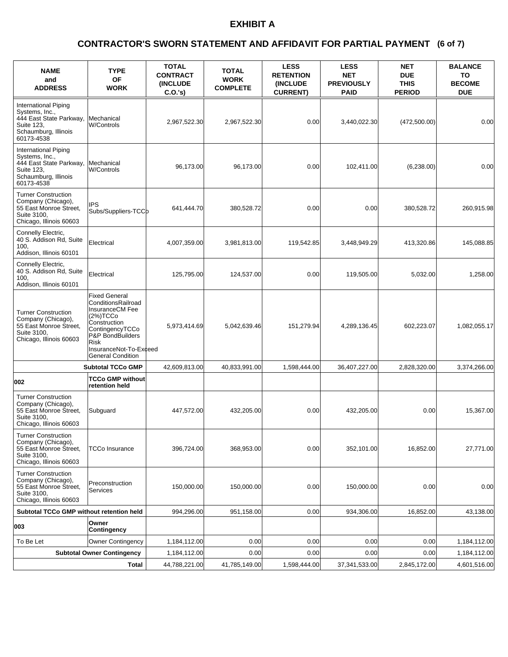### **(6 of 7) CONTRACTOR'S SWORN STATEMENT AND AFFIDAVIT FOR PARTIAL PAYMENT**

| <b>NAME</b><br>and<br><b>ADDRESS</b>                                                                                  | <b>TYPE</b><br><b>OF</b><br><b>WORK</b>                                                                                                                                                               | <b>TOTAL</b><br><b>CONTRACT</b><br><b>INCLUDE</b><br>C.O.'s | <b>TOTAL</b><br><b>WORK</b><br><b>COMPLETE</b> | <b>LESS</b><br><b>RETENTION</b><br>(INCLUDE<br><b>CURRENT)</b> | <b>LESS</b><br><b>NET</b><br><b>PREVIOUSLY</b><br><b>PAID</b> | <b>NET</b><br><b>DUE</b><br><b>THIS</b><br><b>PERIOD</b> | <b>BALANCE</b><br>TO<br><b>BECOME</b><br><b>DUE</b> |
|-----------------------------------------------------------------------------------------------------------------------|-------------------------------------------------------------------------------------------------------------------------------------------------------------------------------------------------------|-------------------------------------------------------------|------------------------------------------------|----------------------------------------------------------------|---------------------------------------------------------------|----------------------------------------------------------|-----------------------------------------------------|
| International Piping<br>Systems, Inc.,<br>444 East State Parkway,<br>Suite 123,<br>Schaumburg, Illinois<br>60173-4538 | Mechanical<br><b>W/Controls</b>                                                                                                                                                                       | 2,967,522.30                                                | 2,967,522.30                                   | 0.00                                                           | 3,440,022.30                                                  | (472,500.00)                                             | 0.00                                                |
| International Piping<br>Systems, Inc.,<br>444 East State Parkway,<br>Suite 123.<br>Schaumburg, Illinois<br>60173-4538 | Mechanical<br><b>W/Controls</b>                                                                                                                                                                       | 96,173.00                                                   | 96,173.00                                      | 0.00                                                           | 102,411.00                                                    | (6,238.00)                                               | 0.00                                                |
| <b>Turner Construction</b><br>Company (Chicago),<br>55 East Monroe Street,<br>Suite 3100,<br>Chicago, Illinois 60603  | IPS<br>Subs/Suppliers-TCCb                                                                                                                                                                            | 641,444.70                                                  | 380,528.72                                     | 0.00                                                           | 0.00                                                          | 380,528.72                                               | 260,915.98                                          |
| Connelly Electric,<br>40 S. Addison Rd, Suite<br>100,<br>Addison, Illinois 60101                                      | Electrical                                                                                                                                                                                            | 4,007,359.00                                                | 3,981,813.00                                   | 119,542.85                                                     | 3,448,949.29                                                  | 413,320.86                                               | 145,088.85                                          |
| Connelly Electric,<br>40 S. Addison Rd, Suite<br>100,<br>Addison, Illinois 60101                                      | Electrical                                                                                                                                                                                            | 125.795.00                                                  | 124,537.00                                     | 0.00                                                           | 119,505.00                                                    | 5,032.00                                                 | 1,258.00                                            |
| <b>Turner Construction</b><br>Company (Chicago),<br>55 East Monroe Street,<br>Suite 3100,<br>Chicago, Illinois 60603  | <b>Fixed General</b><br>ConditionsRailroad<br>InsuranceCM Fee<br>(2%)TCCO<br>Construction<br>ContingencyTCCo<br>P&P BondBuilders<br><b>Risk</b><br>InsuranceNot-To-Exceed<br><b>General Condition</b> | 5,973,414.69                                                | 5,042,639.46                                   | 151,279.94                                                     | 4,289,136.45                                                  | 602,223.07                                               | 1,082,055.17                                        |
|                                                                                                                       | <b>Subtotal TCCo GMP</b>                                                                                                                                                                              | 42,609,813.00                                               | 40,833,991.00                                  | 1,598,444.00                                                   | 36,407,227.00                                                 | 2,828,320.00                                             | 3,374,266.00                                        |
| 002                                                                                                                   | <b>TCCo GMP without</b><br>retention held                                                                                                                                                             |                                                             |                                                |                                                                |                                                               |                                                          |                                                     |
| <b>Turner Construction</b><br>Company (Chicago),<br>55 East Monroe Street,<br>Suite 3100,<br>Chicago, Illinois 60603  | Subguard                                                                                                                                                                                              | 447,572.00                                                  | 432,205.00                                     | 0.00                                                           | 432,205.00                                                    | 0.00                                                     | 15,367.00                                           |
| <b>Turner Construction</b><br>Company (Chicago),<br>55 East Monroe Street,<br>Suite 3100.<br>Chicago, Illinois 60603  | <b>TCCo Insurance</b>                                                                                                                                                                                 | 396,724.00                                                  | 368,953.00                                     | 0.00                                                           | 352,101.00                                                    | 16,852.00                                                | 27,771.00                                           |
| <b>Turner Construction</b><br>Company (Chicago),<br>55 East Monroe Street,<br>Suite 3100,<br>Chicago, Illinois 60603  | Preconstruction<br><b>Services</b>                                                                                                                                                                    | 150,000.00                                                  | 150,000.00                                     | 0.00                                                           | 150,000.00                                                    | 0.00                                                     | 0.00                                                |
| Subtotal TCCo GMP without retention held                                                                              |                                                                                                                                                                                                       | 994,296.00                                                  | 951,158.00                                     | 0.00                                                           | 934,306.00                                                    | 16,852.00                                                | 43,138.00                                           |
| 003                                                                                                                   | Owner<br><b>Contingency</b>                                                                                                                                                                           |                                                             |                                                |                                                                |                                                               |                                                          |                                                     |
| To Be Let                                                                                                             | <b>Owner Contingency</b>                                                                                                                                                                              | 1,184,112.00                                                | 0.00                                           | 0.00                                                           | 0.00                                                          | 0.00                                                     | 1,184,112.00                                        |
|                                                                                                                       | <b>Subtotal Owner Contingency</b>                                                                                                                                                                     | 1,184,112.00                                                | 0.00                                           | 0.00                                                           | 0.00                                                          | 0.00                                                     | 1,184,112.00                                        |
| Total                                                                                                                 |                                                                                                                                                                                                       | 44,788,221.00                                               | 41,785,149.00                                  | 1,598,444.00                                                   | 37,341,533.00                                                 | 2,845,172.00                                             | 4,601,516.00                                        |